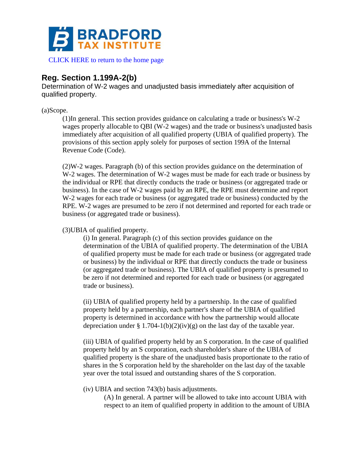

[CLICK HERE to return to the home page](https://www.bradfordtaxinstitute.com)

# **Reg. Section 1.199A-2(b)**

Determination of W-2 wages and unadjusted basis immediately after acquisition of qualified property.

(a)Scope.

(1)In general. This section provides guidance on calculating a trade or business's W-2 wages properly allocable to QBI (W-2 wages) and the trade or business's unadjusted basis immediately after acquisition of all qualified property (UBIA of qualified property). The provisions of this section apply solely for purposes of section 199A of the Internal Revenue Code (Code).

(2)W-2 wages. Paragraph (b) of this section provides guidance on the determination of W-2 wages. The determination of W-2 wages must be made for each trade or business by the individual or RPE that directly conducts the trade or business (or aggregated trade or business). In the case of W-2 wages paid by an RPE, the RPE must determine and report W-2 wages for each trade or business (or aggregated trade or business) conducted by the RPE. W-2 wages are presumed to be zero if not determined and reported for each trade or business (or aggregated trade or business).

(3)UBIA of qualified property.

(i) In general. Paragraph (c) of this section provides guidance on the determination of the UBIA of qualified property. The determination of the UBIA of qualified property must be made for each trade or business (or aggregated trade or business) by the individual or RPE that directly conducts the trade or business (or aggregated trade or business). The UBIA of qualified property is presumed to be zero if not determined and reported for each trade or business (or aggregated trade or business).

(ii) UBIA of qualified property held by a partnership. In the case of qualified property held by a partnership, each partner's share of the UBIA of qualified property is determined in accordance with how the partnership would allocate depreciation under § 1.704-1(b)(2)(iv)(g) on the last day of the taxable year.

(iii) UBIA of qualified property held by an S corporation. In the case of qualified property held by an S corporation, each shareholder's share of the UBIA of qualified property is the share of the unadjusted basis proportionate to the ratio of shares in the S corporation held by the shareholder on the last day of the taxable year over the total issued and outstanding shares of the S corporation.

(iv) UBIA and section 743(b) basis adjustments.

(A) In general. A partner will be allowed to take into account UBIA with respect to an item of qualified property in addition to the amount of UBIA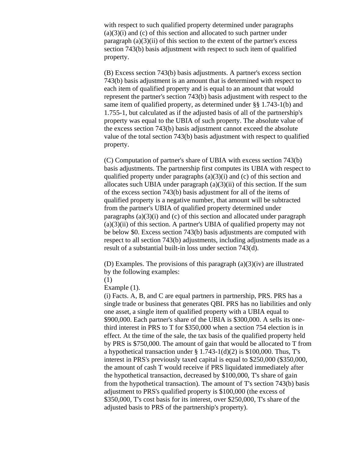with respect to such qualified property determined under paragraphs  $(a)(3)(i)$  and  $(c)$  of this section and allocated to such partner under paragraph  $(a)(3)(ii)$  of this section to the extent of the partner's excess section 743(b) basis adjustment with respect to such item of qualified property.

(B) Excess section 743(b) basis adjustments. A partner's excess section 743(b) basis adjustment is an amount that is determined with respect to each item of qualified property and is equal to an amount that would represent the partner's section 743(b) basis adjustment with respect to the same item of qualified property, as determined under §§ 1.743-1(b) and 1.755-1, but calculated as if the adjusted basis of all of the partnership's property was equal to the UBIA of such property. The absolute value of the excess section 743(b) basis adjustment cannot exceed the absolute value of the total section 743(b) basis adjustment with respect to qualified property.

(C) Computation of partner's share of UBIA with excess section 743(b) basis adjustments. The partnership first computes its UBIA with respect to qualified property under paragraphs  $(a)(3)(i)$  and  $(c)$  of this section and allocates such UBIA under paragraph  $(a)(3)(ii)$  of this section. If the sum of the excess section 743(b) basis adjustment for all of the items of qualified property is a negative number, that amount will be subtracted from the partner's UBIA of qualified property determined under paragraphs  $(a)(3)(i)$  and  $(c)$  of this section and allocated under paragraph  $(a)(3)(ii)$  of this section. A partner's UBIA of qualified property may not be below \$0. Excess section 743(b) basis adjustments are computed with respect to all section 743(b) adjustments, including adjustments made as a result of a substantial built-in loss under section 743(d).

(D) Examples. The provisions of this paragraph (a)(3)(iv) are illustrated by the following examples:

(1)

Example (1).

(i) Facts. A, B, and C are equal partners in partnership, PRS. PRS has a single trade or business that generates QBI. PRS has no liabilities and only one asset, a single item of qualified property with a UBIA equal to \$900,000. Each partner's share of the UBIA is \$300,000. A sells its onethird interest in PRS to T for \$350,000 when a section 754 election is in effect. At the time of the sale, the tax basis of the qualified property held by PRS is \$750,000. The amount of gain that would be allocated to T from a hypothetical transaction under  $\S 1.743-1(d)(2)$  is \$100,000. Thus, T's interest in PRS's previously taxed capital is equal to \$250,000 (\$350,000, the amount of cash T would receive if PRS liquidated immediately after the hypothetical transaction, decreased by \$100,000, T's share of gain from the hypothetical transaction). The amount of T's section 743(b) basis adjustment to PRS's qualified property is \$100,000 (the excess of \$350,000, T's cost basis for its interest, over \$250,000, T's share of the adjusted basis to PRS of the partnership's property).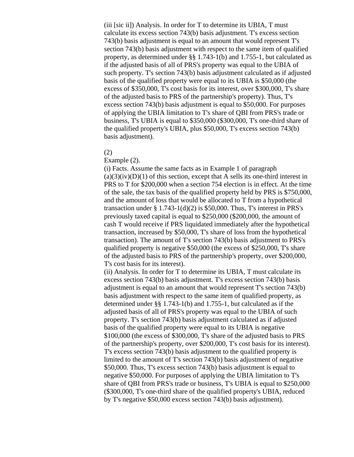(iii [sic ii]) Analysis. In order for T to determine its UBIA, T must calculate its excess section 743(b) basis adjustment. T's excess section 743(b) basis adjustment is equal to an amount that would represent T's section 743(b) basis adjustment with respect to the same item of qualified property, as determined under §§ 1.743-1(b) and 1.755-1, but calculated as if the adjusted basis of all of PRS's property was equal to the UBIA of such property. T's section 743(b) basis adjustment calculated as if adjusted basis of the qualified property were equal to its UBIA is \$50,000 (the excess of \$350,000, T's cost basis for its interest, over \$300,000, T's share of the adjusted basis to PRS of the partnership's property). Thus, T's excess section 743(b) basis adjustment is equal to \$50,000. For purposes of applying the UBIA limitation to T's share of QBI from PRS's trade or business, T's UBIA is equal to \$350,000 (\$300,000, T's one-third share of the qualified property's UBIA, plus \$50,000, T's excess section 743(b) basis adjustment).

## (2)

#### Example (2).

(i) Facts. Assume the same facts as in Example 1 of paragraph  $(a)(3)(iv)(D)(1)$  of this section, except that A sells its one-third interest in PRS to T for \$200,000 when a section 754 election is in effect. At the time of the sale, the tax basis of the qualified property held by PRS is \$750,000, and the amount of loss that would be allocated to T from a hypothetical transaction under  $\S 1.743-1(d)(2)$  is \$50,000. Thus, T's interest in PRS's previously taxed capital is equal to \$250,000 (\$200,000, the amount of cash T would receive if PRS liquidated immediately after the hypothetical transaction, increased by \$50,000, T's share of loss from the hypothetical transaction). The amount of T's section 743(b) basis adjustment to PRS's qualified property is negative \$50,000 (the excess of \$250,000, T's share of the adjusted basis to PRS of the partnership's property, over \$200,000, T's cost basis for its interest).

(ii) Analysis. In order for T to determine its UBIA, T must calculate its excess section 743(b) basis adjustment. T's excess section 743(b) basis adjustment is equal to an amount that would represent T's section 743(b) basis adjustment with respect to the same item of qualified property, as determined under §§ 1.743-1(b) and 1.755-1, but calculated as if the adjusted basis of all of PRS's property was equal to the UBIA of such property. T's section 743(b) basis adjustment calculated as if adjusted basis of the qualified property were equal to its UBIA is negative \$100,000 (the excess of \$300,000, T's share of the adjusted basis to PRS of the partnership's property, over \$200,000, T's cost basis for its interest). T's excess section 743(b) basis adjustment to the qualified property is limited to the amount of T's section 743(b) basis adjustment of negative \$50,000. Thus, T's excess section 743(b) basis adjustment is equal to negative \$50,000. For purposes of applying the UBIA limitation to T's share of QBI from PRS's trade or business, T's UBIA is equal to \$250,000 (\$300,000, T's one-third share of the qualified property's UBIA, reduced by T's negative \$50,000 excess section 743(b) basis adjustment).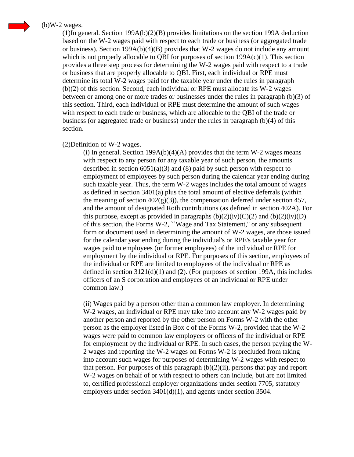## $(b)$ W-2 wages.

 $(1)$ In general. Section 199A(b)(2)(B) provides limitations on the section 199A deduction based on the W-2 wages paid with respect to each trade or business (or aggregated trade or business). Section 199A(b)(4)(B) provides that W-2 wages do not include any amount which is not properly allocable to QBI for purposes of section 199A(c)(1). This section provides a three step process for determining the W-2 wages paid with respect to a trade or business that are properly allocable to QBI. First, each individual or RPE must determine its total W-2 wages paid for the taxable year under the rules in paragraph (b)(2) of this section. Second, each individual or RPE must allocate its W-2 wages between or among one or more trades or businesses under the rules in paragraph (b)(3) of this section. Third, each individual or RPE must determine the amount of such wages with respect to each trade or business, which are allocable to the QBI of the trade or business (or aggregated trade or business) under the rules in paragraph (b)(4) of this section.

#### (2)Definition of W-2 wages.

(i) In general. Section  $199A(b)(4)(A)$  provides that the term W-2 wages means with respect to any person for any taxable year of such person, the amounts described in section  $6051(a)(3)$  and  $(8)$  paid by such person with respect to employment of employees by such person during the calendar year ending during such taxable year. Thus, the term W-2 wages includes the total amount of wages as defined in section  $3401(a)$  plus the total amount of elective deferrals (within the meaning of section  $402(g)(3)$ , the compensation deferred under section 457, and the amount of designated Roth contributions (as defined in section 402A). For this purpose, except as provided in paragraphs  $(b)(2)(iv)(C)(2)$  and  $(b)(2)(iv)(D)$ of this section, the Forms W-2, ``Wage and Tax Statement,'' or any subsequent form or document used in determining the amount of W-2 wages, are those issued for the calendar year ending during the individual's or RPE's taxable year for wages paid to employees (or former employees) of the individual or RPE for employment by the individual or RPE. For purposes of this section, employees of the individual or RPE are limited to employees of the individual or RPE as defined in section  $3121(d)(1)$  and (2). (For purposes of section 199A, this includes officers of an S corporation and employees of an individual or RPE under common law.)

(ii) Wages paid by a person other than a common law employer. In determining W-2 wages, an individual or RPE may take into account any W-2 wages paid by another person and reported by the other person on Forms W-2 with the other person as the employer listed in Box c of the Forms W-2, provided that the W-2 wages were paid to common law employees or officers of the individual or RPE for employment by the individual or RPE. In such cases, the person paying the W-2 wages and reporting the W-2 wages on Forms W-2 is precluded from taking into account such wages for purposes of determining W-2 wages with respect to that person. For purposes of this paragraph  $(b)(2)(ii)$ , persons that pay and report W-2 wages on behalf of or with respect to others can include, but are not limited to, certified professional employer organizations under section 7705, statutory employers under section 3401(d)(1), and agents under section 3504.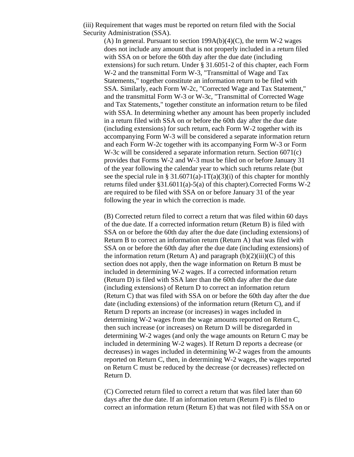(iii) Requirement that wages must be reported on return filed with the Social Security Administration (SSA).

(A) In general. Pursuant to section  $199A(b)(4)(C)$ , the term W-2 wages does not include any amount that is not properly included in a return filed with SSA on or before the 60th day after the due date (including extensions) for such return. Under § 31.6051-2 of this chapter, each Form W-2 and the transmittal Form W-3, "Transmittal of Wage and Tax Statements," together constitute an information return to be filed with SSA. Similarly, each Form W-2c, "Corrected Wage and Tax Statement," and the transmittal Form W-3 or W-3c, "Transmittal of Corrected Wage and Tax Statements," together constitute an information return to be filed with SSA. In determining whether any amount has been properly included in a return filed with SSA on or before the 60th day after the due date (including extensions) for such return, each Form W-2 together with its accompanying Form W-3 will be considered a separate information return and each Form W-2c together with its accompanying Form W-3 or Form W-3c will be considered a separate information return. Section 6071(c) provides that Forms W-2 and W-3 must be filed on or before January 31 of the year following the calendar year to which such returns relate (but see the special rule in § 31.6071(a)-1T(a)(3)(i) of this chapter for monthly returns filed under §31.6011(a)-5(a) of this chapter).Corrected Forms W-2 are required to be filed with SSA on or before January 31 of the year following the year in which the correction is made.

(B) Corrected return filed to correct a return that was filed within 60 days of the due date. If a corrected information return (Return B) is filed with SSA on or before the 60th day after the due date (including extensions) of Return B to correct an information return (Return A) that was filed with SSA on or before the 60th day after the due date (including extensions) of the information return (Return A) and paragraph  $(b)(2)(iii)(C)$  of this section does not apply, then the wage information on Return B must be included in determining W-2 wages. If a corrected information return (Return D) is filed with SSA later than the 60th day after the due date (including extensions) of Return D to correct an information return (Return C) that was filed with SSA on or before the 60th day after the due date (including extensions) of the information return (Return C), and if Return D reports an increase (or increases) in wages included in determining W-2 wages from the wage amounts reported on Return C, then such increase (or increases) on Return D will be disregarded in determining W-2 wages (and only the wage amounts on Return C may be included in determining W-2 wages). If Return D reports a decrease (or decreases) in wages included in determining W-2 wages from the amounts reported on Return C, then, in determining W-2 wages, the wages reported on Return C must be reduced by the decrease (or decreases) reflected on Return D.

(C) Corrected return filed to correct a return that was filed later than 60 days after the due date. If an information return (Return F) is filed to correct an information return (Return E) that was not filed with SSA on or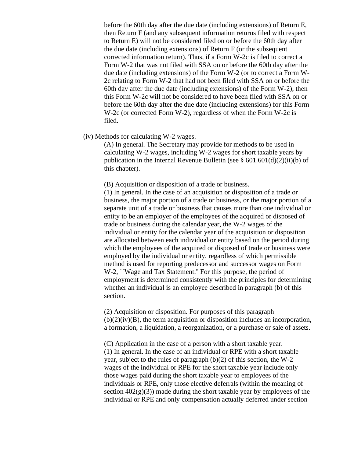before the 60th day after the due date (including extensions) of Return E, then Return F (and any subsequent information returns filed with respect to Return E) will not be considered filed on or before the 60th day after the due date (including extensions) of Return F (or the subsequent corrected information return). Thus, if a Form W-2c is filed to correct a Form W-2 that was not filed with SSA on or before the 60th day after the due date (including extensions) of the Form W-2 (or to correct a Form W-2c relating to Form W-2 that had not been filed with SSA on or before the 60th day after the due date (including extensions) of the Form  $W-2$ ), then this Form W-2c will not be considered to have been filed with SSA on or before the 60th day after the due date (including extensions) for this Form W-2c (or corrected Form W-2), regardless of when the Form W-2c is filed.

(iv) Methods for calculating W-2 wages.

(A) In general. The Secretary may provide for methods to be used in calculating W-2 wages, including W-2 wages for short taxable years by publication in the Internal Revenue Bulletin (see  $\S 601.601(d)(2)(ii)(b)$  of this chapter).

(B) Acquisition or disposition of a trade or business.

(1) In general. In the case of an acquisition or disposition of a trade or business, the major portion of a trade or business, or the major portion of a separate unit of a trade or business that causes more than one individual or entity to be an employer of the employees of the acquired or disposed of trade or business during the calendar year, the W-2 wages of the individual or entity for the calendar year of the acquisition or disposition are allocated between each individual or entity based on the period during which the employees of the acquired or disposed of trade or business were employed by the individual or entity, regardless of which permissible method is used for reporting predecessor and successor wages on Form W-2, ``Wage and Tax Statement.'' For this purpose, the period of employment is determined consistently with the principles for determining whether an individual is an employee described in paragraph (b) of this section.

(2) Acquisition or disposition. For purposes of this paragraph  $(b)(2)(iv)(B)$ , the term acquisition or disposition includes an incorporation, a formation, a liquidation, a reorganization, or a purchase or sale of assets.

(C) Application in the case of a person with a short taxable year. (1) In general. In the case of an individual or RPE with a short taxable year, subject to the rules of paragraph (b)(2) of this section, the W-2 wages of the individual or RPE for the short taxable year include only those wages paid during the short taxable year to employees of the individuals or RPE, only those elective deferrals (within the meaning of section  $402(g)(3)$ ) made during the short taxable year by employees of the individual or RPE and only compensation actually deferred under section